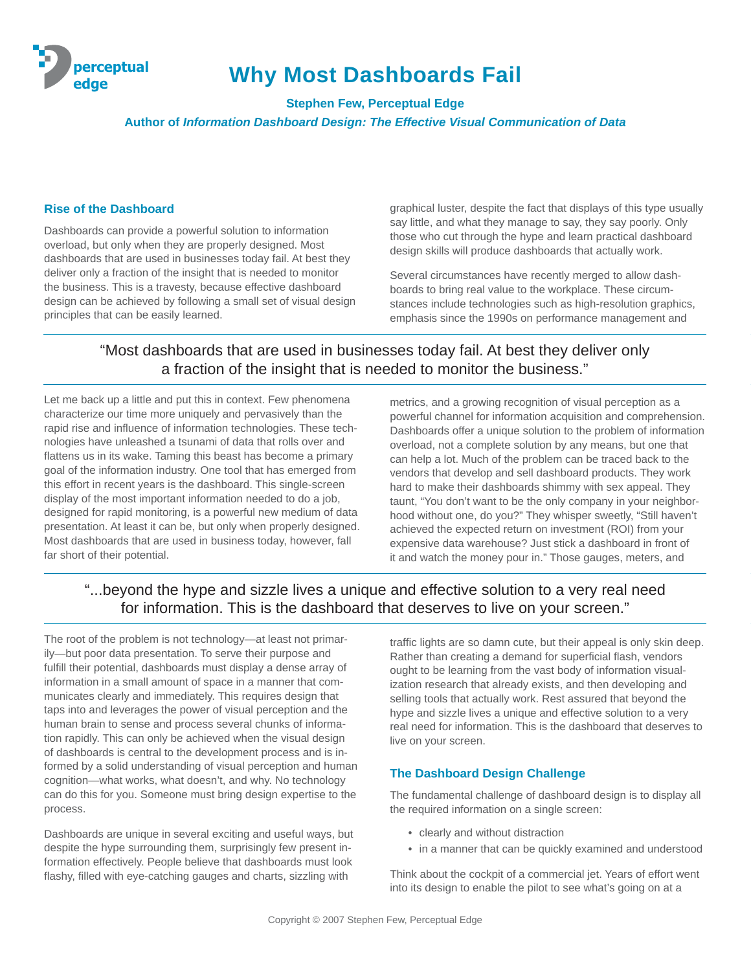

# **Why Most Dashboards Fail**

**Stephen Few, Perceptual Edge Author of** *Information Dashboard Design: The Effective Visual Communication of Data*

### **Rise of the Dashboard**

Dashboards can provide a powerful solution to information overload, but only when they are properly designed. Most dashboards that are used in businesses today fail. At best they deliver only a fraction of the insight that is needed to monitor the business. This is a travesty, because effective dashboard design can be achieved by following a small set of visual design principles that can be easily learned.

graphical luster, despite the fact that displays of this type usually say little, and what they manage to say, they say poorly. Only those who cut through the hype and learn practical dashboard design skills will produce dashboards that actually work.

Several circumstances have recently merged to allow dashboards to bring real value to the workplace. These circumstances include technologies such as high-resolution graphics, emphasis since the 1990s on performance management and

## "Most dashboards that are used in businesses today fail. At best they deliver only a fraction of the insight that is needed to monitor the business."

Let me back up a little and put this in context. Few phenomena characterize our time more uniquely and pervasively than the rapid rise and influence of information technologies. These technologies have unleashed a tsunami of data that rolls over and flattens us in its wake. Taming this beast has become a primary goal of the information industry. One tool that has emerged from this effort in recent years is the dashboard. This single-screen display of the most important information needed to do a job, designed for rapid monitoring, is a powerful new medium of data presentation. At least it can be, but only when properly designed. Most dashboards that are used in business today, however, fall far short of their potential.

metrics, and a growing recognition of visual perception as a powerful channel for information acquisition and comprehension. Dashboards offer a unique solution to the problem of information overload, not a complete solution by any means, but one that can help a lot. Much of the problem can be traced back to the vendors that develop and sell dashboard products. They work hard to make their dashboards shimmy with sex appeal. They taunt, "You don't want to be the only company in your neighborhood without one, do you?" They whisper sweetly, "Still haven't achieved the expected return on investment (ROI) from your expensive data warehouse? Just stick a dashboard in front of it and watch the money pour in." Those gauges, meters, and

## "...beyond the hype and sizzle lives a unique and effective solution to a very real need for information. This is the dashboard that deserves to live on your screen."

The root of the problem is not technology—at least not primarily—but poor data presentation. To serve their purpose and fulfill their potential, dashboards must display a dense array of information in a small amount of space in a manner that communicates clearly and immediately. This requires design that taps into and leverages the power of visual perception and the human brain to sense and process several chunks of information rapidly. This can only be achieved when the visual design of dashboards is central to the development process and is informed by a solid understanding of visual perception and human cognition—what works, what doesn't, and why. No technology can do this for you. Someone must bring design expertise to the process.

Dashboards are unique in several exciting and useful ways, but despite the hype surrounding them, surprisingly few present information effectively. People believe that dashboards must look flashy, filled with eye-catching gauges and charts, sizzling with

traffic lights are so damn cute, but their appeal is only skin deep. Rather than creating a demand for superficial flash, vendors ought to be learning from the vast body of information visualization research that already exists, and then developing and selling tools that actually work. Rest assured that beyond the hype and sizzle lives a unique and effective solution to a very real need for information. This is the dashboard that deserves to live on your screen.

### **The Dashboard Design Challenge**

The fundamental challenge of dashboard design is to display all the required information on a single screen:

- clearly and without distraction
- in a manner that can be quickly examined and understood

Think about the cockpit of a commercial jet. Years of effort went into its design to enable the pilot to see what's going on at a